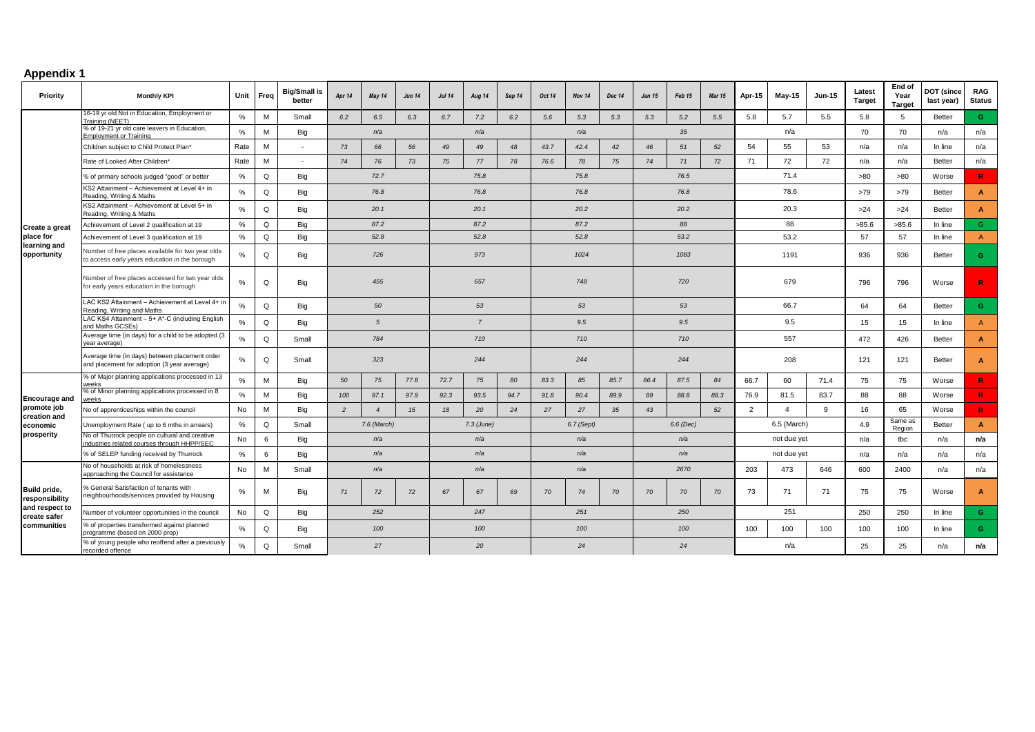## **Appendix 1**

| Priority                                                                        | <b>Monthly KPI</b>                                                                                  |      | Unit Freq | <b>Big/Small is</b><br>better | Apr 14         | May 14         | <b>Jun 14</b> | <b>Jul 14</b>  | Aug 14 | Sep 14 | Oct 14     | Nov 14 | Dec 14 | <b>Jan 15</b> | Feb 15 | <b>Mar 15</b> | Apr-15         | May-15         | <b>Jun-15</b> | Latest<br><b>Target</b> | End of<br>Year<br><b>Target</b> | <b>DOT</b> (since<br>last year) | <b>RAG</b><br><b>Status</b> |
|---------------------------------------------------------------------------------|-----------------------------------------------------------------------------------------------------|------|-----------|-------------------------------|----------------|----------------|---------------|----------------|--------|--------|------------|--------|--------|---------------|--------|---------------|----------------|----------------|---------------|-------------------------|---------------------------------|---------------------------------|-----------------------------|
|                                                                                 | 16-19 yr old Not in Education, Employment or<br>Training (NEET)                                     | %    | M         | Small                         | 6.2            | 6.5            | 6.3           | 6.7            | 7.2    | 6.2    | 5.6        | 5.3    | 5.3    | 5.3           | 5.2    | 5.5           | 5.8            | 5.7            | 5.5           | 5.8                     | 5                               | Better                          | G                           |
|                                                                                 | % of 19-21 yr old care leavers in Education,<br><b>Employment or Training</b>                       | $\%$ | M         | Big                           |                | n/a            |               | n/a            |        |        | n/a        |        |        | 35            |        |               | n/a            |                |               | 70                      | 70                              | n/a                             | n/a                         |
|                                                                                 | Children subject to Child Protect Plan*                                                             | Rate | M         | $\sim$                        | 73             | 66             | 56            | 49             | 49     | 48     | 43.7       | 42.4   | 42     | 46            | 51     | 52            | 54             | 55             | 53            | n/a                     | n/a                             | In line                         | n/a                         |
|                                                                                 | Rate of Looked After Children*                                                                      | Rate | M         | $\sim$                        | 74             | 76             | 73            | 75             | 77     | 78     | 76.6       | 78     | 75     | 74            | 71     | 72            | 71             | 72             | 72            | n/a                     | n/a                             | Better                          | n/a                         |
|                                                                                 | % of primary schools judged "good" or better                                                        | %    | Q         | Big                           |                | 72.7           |               |                | 75.8   |        | 75.8       |        |        | 76.5          |        |               | 71.4           |                |               | >80                     | >80                             | Worse                           | R                           |
|                                                                                 | KS2 Attainment - Achievement at Level 4+ in<br>Reading, Writing & Maths                             | %    | Q         | Big                           |                | 76.8           |               |                | 76.8   |        |            | 76.8   |        |               | 76.8   |               |                | 78.6           |               |                         | >79                             | <b>Better</b>                   | $\mathbf{A}$                |
|                                                                                 | KS2 Attainment - Achievement at Level 5+ in<br>Reading, Writing & Maths                             | $\%$ | Q         | Big                           | 20.1           |                |               | 20.1           |        |        | 20.2       |        |        | 20.2          |        |               | 20.3           |                |               | >24                     | >24                             | Better                          | $\overline{A}$              |
| Create a great                                                                  | Achievement of Level 2 qualification at 19                                                          | %    | Q         | Big                           | 87.2           |                |               | 87.2           |        |        | 87.2       |        |        | 88            |        |               | 88             |                |               | >85.6                   | >85.6                           | In line                         | $\mathsf{G}$                |
| place for                                                                       | Achievement of Level 3 qualification at 19                                                          | %    | Q         | Big                           |                | 52.8           |               |                | 52.8   |        |            | 52.8   |        |               | 53.2   |               |                | 53.2           |               | 57                      | 57                              | In line                         | $\mathsf{A}$                |
| learning and<br>opportunity                                                     | Number of free places available for two year olds<br>to access early years education in the borough | %    | Q         | Big                           |                | 726            |               |                | 973    |        |            | 1024   |        |               | 1083   |               |                | 1191           |               | 936                     | 936                             | Better                          | $\mathbf{G}$                |
|                                                                                 | Number of free places accessed for two year olds<br>for early years education in the borough        | $\%$ | Q         | Big                           | 455            |                |               | 657            |        |        | 748        |        |        | 720           |        |               | 679            |                |               | 796                     | 796                             | Worse                           | $\mathbf R$                 |
|                                                                                 | LAC KS2 Attainment - Achievement at Level 4+ in<br>Reading, Writing and Maths                       | $\%$ | Q         | Big                           | 50             |                |               | 53             |        |        | 53         |        |        | 53            |        |               | 66.7           |                |               | 64                      | 64                              | Better                          | G                           |
|                                                                                 | LAC KS4 Attainment - 5+ A*-C (including English<br>and Maths GCSEs)                                 | $\%$ | Q         | Big                           | 5              |                |               | $\overline{7}$ |        |        | 9.5        |        |        | 9.5           |        |               | 9.5            |                |               | 15                      | 15                              | In line                         | $\overline{A}$              |
|                                                                                 | Average time (in days) for a child to be adopted (3<br>ear average)                                 | $\%$ | Q         | Small                         | 784            |                |               | 710            |        |        | 710        |        |        | 710           |        |               | 557            |                |               | 472                     | 426                             | Better                          | $\overline{A}$              |
|                                                                                 | Average time (in days) between placement order<br>and placement for adoption (3 year average)       | %    | Q         | Small                         | 323            |                |               | 244            |        |        | 244        |        |        | 244           |        |               | 208            |                |               | 121                     | 121                             | Better                          | $\overline{A}$              |
|                                                                                 | % of Major planning applications processed in 13<br>weeks                                           | %    | M         | Big                           | 50             | 75             | 77.8          | 72.7           | 75     | 80     | 83.3       | 85     | 85.7   | 86.4          | 87.5   | 84            | 66.7           | 60             | 71.4          | 75                      | 75                              | Worse                           | R                           |
| <b>Encourage and</b>                                                            | % of Minor planning applications processed in 8<br>weeks                                            | %    | M         | Big                           | 100            | 97.1           | 97.9          | 92.3           | 93.5   | 94.7   | 91.8       | 90.4   | 89.9   | 89            | 88.8   | 88.3          | 76.9           | 81.5           | 83.7          | 88                      | 88                              | Worse                           | R                           |
| promote job<br>creation and                                                     | No of apprenticeships within the council                                                            | No   | M         | Big                           | $\overline{c}$ | $\overline{4}$ | 15            | 18             | 20     | 24     | 27         | 27     | 35     | 43            |        | 52            | $\overline{2}$ | $\overline{a}$ | 9             | 16                      | 65                              | Worse                           | R                           |
| economic                                                                        | Unemployment Rate (up to 6 mths in arrears)                                                         | $\%$ | Q         | Small                         | 7.6 (March)    |                |               | $7.3$ (June)   |        |        | 6.7 (Sept) |        |        | 6.6 (Dec)     |        |               | 6.5 (March)    |                |               | 4.9                     | Same as<br>Region               | Better                          | $\overline{A}$              |
| prosperity                                                                      | No of Thurrock people on cultural and creative<br>industries related courses through HHPP/SEC       | No   | 6         | Big                           | n/a            |                |               | n/a            |        |        | n/a        |        |        | n/a           |        |               | not due yet    |                |               | n/a                     | tbc                             | n/a                             | n/a                         |
|                                                                                 | % of SELEP funding received by Thurrock                                                             | %    | 6         | Big                           | n/a            |                |               | n/a            |        |        | n/a        |        |        | n/a           |        |               | not due yet    |                |               | n/a                     | n/a                             | n/a                             | n/a                         |
| Build pride,<br>responsibility<br>and respect to<br>create safer<br>communities | No of households at risk of homelessness<br>approaching the Council for assistance                  | No   | M         | Small                         | n/a            |                | n/a           |                |        | n/a    |            |        | 2670   |               |        | 203           | 473            | 646            | 600           | 2400                    | n/a                             | n/a                             |                             |
|                                                                                 | % General Satisfaction of tenants with<br>neighbourhoods/services provided by Housing               | %    | M         | Big                           | 71             | 72             | 72            | 67             | 67     | 69     | 70         | 74     | 70     | 70            | 70     | 70            | 73             | 71             | 71            | 75                      | 75                              | Worse                           | $\overline{A}$              |
|                                                                                 | Number of volunteer opportunities in the council                                                    | No   | Q         | Big                           | 252            |                |               | 247            |        |        | 251        |        |        |               | 250    |               |                | 251            |               |                         | 250                             | In line                         | G                           |
|                                                                                 | % of properties transformed against planned<br>programme (based on 2000 prop)                       | %    | Q         | Big                           | 100            |                |               | 100            |        |        | 100        |        |        | 100           |        |               | 100            | 100            | 100           | 100                     | 100                             | In line                         | $\mathbf{G}$                |
|                                                                                 | % of young people who reoffend after a previously<br>recorded offence                               |      | Q         | Small                         |                | 27             |               |                | 20     |        |            | 24     |        |               | 24     |               |                | n/a            |               |                         | 25                              | n/a                             | n/a                         |